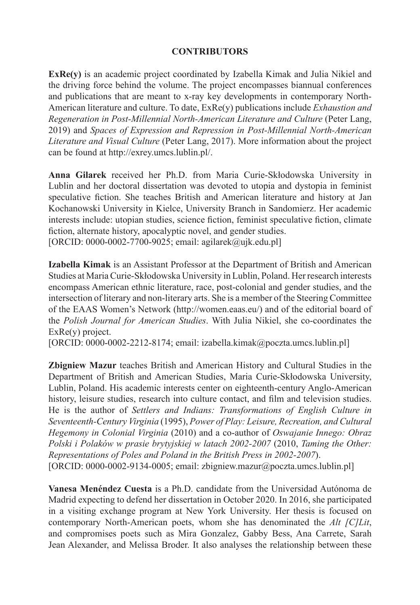## **CONTRIBUTORS**

**ExRe(y)** is an academic project coordinated by Izabella Kimak and Julia Nikiel and the driving force behind the volume. The project encompasses biannual conferences and publications that are meant to x-ray key developments in contemporary North-American literature and culture. To date, ExRe(y) publications include *Exhaustion and Regeneration in Post-Millennial North-American Literature and Culture* (Peter Lang, 2019) and *Spaces of Expression and Repression in Post-Millennial North-American Literature and Visual Culture* (Peter Lang, 2017). More information about the project can be found at http://exrey.umcs.lublin.pl/.

**Anna Gilarek** received her Ph.D. from Maria Curie-Skłodowska University in Lublin and her doctoral dissertation was devoted to utopia and dystopia in feminist speculative fiction. She teaches British and American literature and history at Jan Kochanowski University in Kielce, University Branch in Sandomierz. Her academic interests include: utopian studies, science fiction, feminist speculative fiction, climate fiction, alternate history, apocalyptic novel, and gender studies.

[ORCID: 0000-0002-7700-9025; email: agilarek@ujk.edu.pl]

**Izabella Kimak** is an Assistant Professor at the Department of British and American Studies at Maria Curie-Skłodowska University in Lublin, Poland. Her research interests encompass American ethnic literature, race, post-colonial and gender studies, and the intersection of literary and non-literary arts. She is a member of the Steering Committee of the EAAS Women's Network (http://women.eaas.eu/) and of the editorial board of the *Polish Journal for American Studies*. With Julia Nikiel, she co-coordinates the ExRe(y) project.

 $[ORCID: 0000-0002-2212-8174; email: izabella.kimak@poczta.umes.lublin.pl]$ 

**Zbigniew Mazur** teaches British and American History and Cultural Studies in the Department of British and American Studies, Maria Curie-Skłodowska University, Lublin, Poland. His academic interests center on eighteenth-century Anglo-American history, leisure studies, research into culture contact, and film and television studies. He is the author of *Settlers and Indians: Transformations of English Culture in Seventeenth-Century Virginia* (1995), *Power of Play: Leisure, Recreation, and Cultural Hegemony in Colonial Virginia* (2010) and a co-author of *Oswajanie Innego: Obraz Polski i Polaków w prasie brytyjskiej w latach 2002-2007* (2010, *Taming the Other: Representations of Poles and Poland in the British Press in 2002-2007*). [ORCID:  $0000-0002-9134-0005$ ; email: zbigniew.mazur@poczta.umcs.lublin.pl]

**Vanesa Menéndez Cuesta** is a Ph.D. candidate from the Universidad Autónoma de Madrid expecting to defend her dissertation in October 2020. In 2016, she participated in a visiting exchange program at New York University. Her thesis is focused on contemporary North-American poets, whom she has denominated the *Alt [C]Lit*, and compromises poets such as Mira Gonzalez, Gabby Bess, Ana Carrete, Sarah Jean Alexander, and Melissa Broder. It also analyses the relationship between these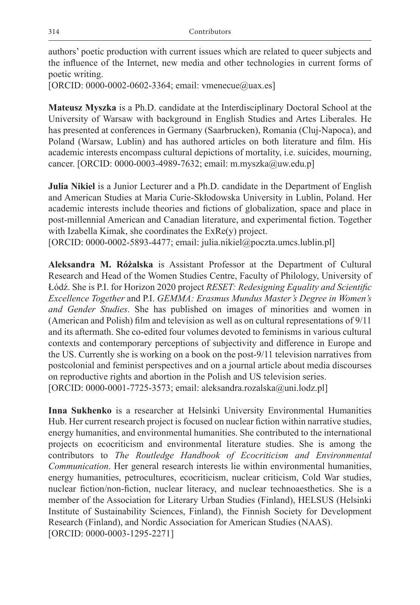authors' poetic production with current issues which are related to queer subjects and the influence of the Internet, new media and other technologies in current forms of poetic writing.

[ORCID: 0000-0002-0602-3364; email: vmenecue@uax.es]

**Mateusz Myszka** is a Ph.D. candidate at the Interdisciplinary Doctoral School at the University of Warsaw with background in English Studies and Artes Liberales. He has presented at conferences in Germany (Saarbrucken), Romania (Cluj-Napoca), and Poland (Warsaw, Lublin) and has authored articles on both literature and film. His academic interests encompass cultural depictions of mortality, i.e. suicides, mourning, cancer. [ORCID: 0000-0003-4989-7632; email: m.myszka@uw.edu.p]

**Julia Nikiel** is a Junior Lecturer and a Ph.D. candidate in the Department of English and American Studies at Maria Curie-Skłodowska University in Lublin, Poland. Her academic interests include theories and fictions of globalization, space and place in post-millennial American and Canadian literature, and experimental fiction. Together with Izabella Kimak, she coordinates the ExRe(y) project.

[ORCID: 0000-0002-5893-4477; email: julia.nikiel@poczta.umcs.lublin.pl]

**Aleksandra M. Różalska** is Assistant Professor at the Department of Cultural Research and Head of the Women Studies Centre, Faculty of Philology, University of Łódź. She is P.I. for Horizon 2020 project *RESET: Redesigning Equality and Scientific Excellence Together* and P.I. *GEMMA: Erasmus Mundus Master's Degree in Women's and Gender Studies*. She has published on images of minorities and women in (American and Polish) film and television as well as on cultural representations of 9/11 and its aftermath. She co-edited four volumes devoted to feminisms in various cultural contexts and contemporary perceptions of subjectivity and difference in Europe and the US. Currently she is working on a book on the post-9/11 television narratives from postcolonial and feminist perspectives and on a journal article about media discourses on reproductive rights and abortion in the Polish and US television series. [ORCID: 0000-0001-7725-3573; email: aleksandra.rozalska@uni.lodz.pl]

**Inna Sukhenko** is a researcher at Helsinki University Environmental Humanities Hub. Her current research project is focused on nuclear fiction within narrative studies, energy humanities, and environmental humanities. She contributed to the international projects on ecocriticism and environmental literature studies. She is among the contributors to *The Routledge Handbook of Ecocriticism and Environmental Communication*. Her general research interests lie within environmental humanities, energy humanities, petrocultures, ecocriticism, nuclear criticism, Cold War studies, nuclear fiction/non-fiction, nuclear literacy, and nuclear technoaesthetics. She is a member of the Association for Literary Urban Studies (Finland), HELSUS (Helsinki Institute of Sustainability Sciences, Finland), the Finnish Society for Development Research (Finland), and Nordic Association for American Studies (NAAS). [ORCID: 0000-0003-1295-2271]